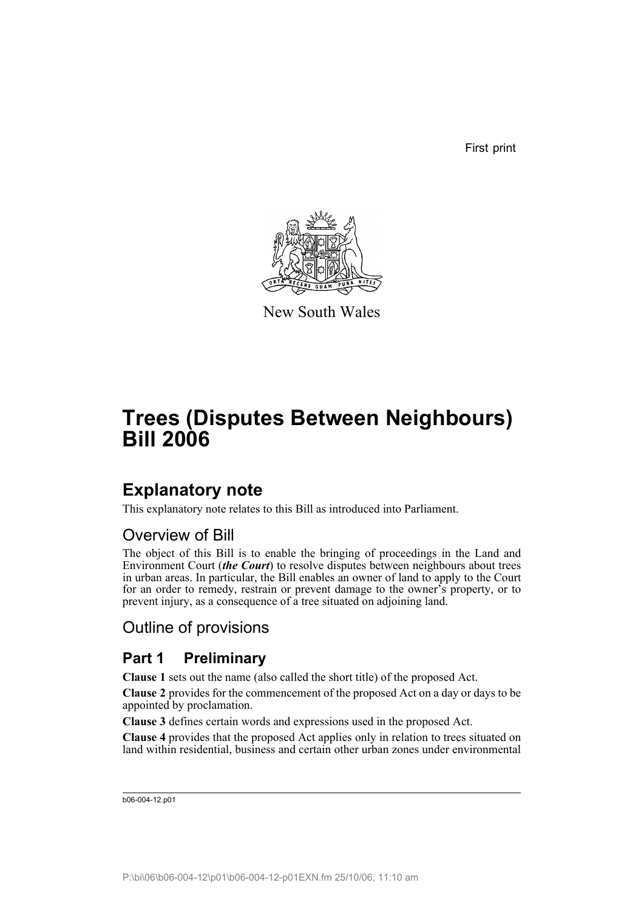First print



New South Wales

# **Trees (Disputes Between Neighbours) Bill 2006**

# **Explanatory note**

This explanatory note relates to this Bill as introduced into Parliament.

# Overview of Bill

The object of this Bill is to enable the bringing of proceedings in the Land and Environment Court (*the Court*) to resolve disputes between neighbours about trees in urban areas. In particular, the Bill enables an owner of land to apply to the Court for an order to remedy, restrain or prevent damage to the owner's property, or to prevent injury, as a consequence of a tree situated on adjoining land.

# Outline of provisions

# **Part 1 Preliminary**

**Clause 1** sets out the name (also called the short title) of the proposed Act.

**Clause 2** provides for the commencement of the proposed Act on a day or days to be appointed by proclamation.

**Clause 3** defines certain words and expressions used in the proposed Act.

**Clause 4** provides that the proposed Act applies only in relation to trees situated on land within residential, business and certain other urban zones under environmental

```
b06-004-12.p01
```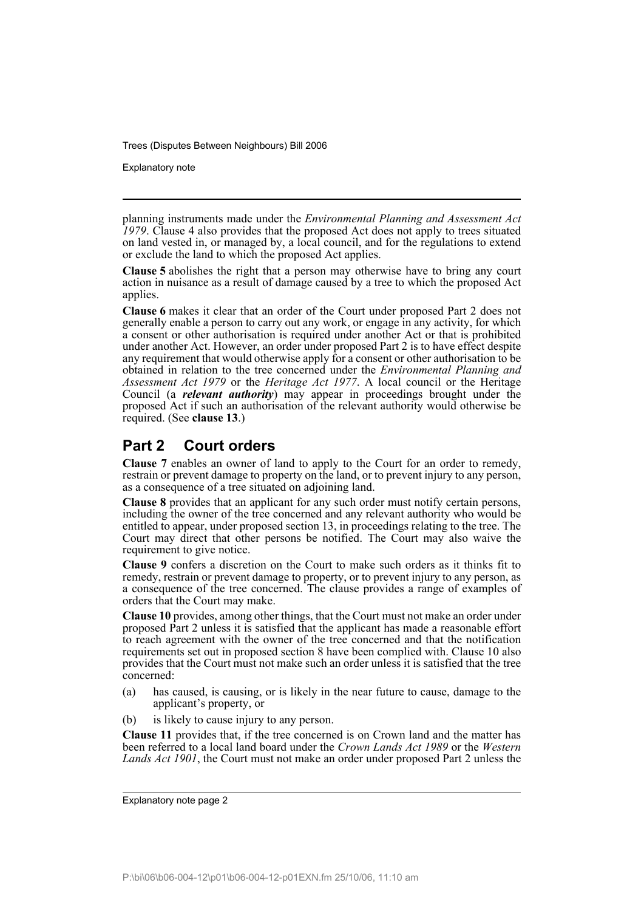Explanatory note

planning instruments made under the *Environmental Planning and Assessment Act 1979*. Clause 4 also provides that the proposed Act does not apply to trees situated on land vested in, or managed by, a local council, and for the regulations to extend or exclude the land to which the proposed Act applies.

**Clause 5** abolishes the right that a person may otherwise have to bring any court action in nuisance as a result of damage caused by a tree to which the proposed Act applies.

**Clause 6** makes it clear that an order of the Court under proposed Part 2 does not generally enable a person to carry out any work, or engage in any activity, for which a consent or other authorisation is required under another Act or that is prohibited under another Act. However, an order under proposed Part 2 is to have effect despite any requirement that would otherwise apply for a consent or other authorisation to be obtained in relation to the tree concerned under the *Environmental Planning and Assessment Act 1979* or the *Heritage Act 1977*. A local council or the Heritage Council (a *relevant authority*) may appear in proceedings brought under the proposed Act if such an authorisation of the relevant authority would otherwise be required. (See **clause 13**.)

# **Part 2 Court orders**

**Clause 7** enables an owner of land to apply to the Court for an order to remedy, restrain or prevent damage to property on the land, or to prevent injury to any person, as a consequence of a tree situated on adjoining land.

**Clause 8** provides that an applicant for any such order must notify certain persons, including the owner of the tree concerned and any relevant authority who would be entitled to appear, under proposed section 13, in proceedings relating to the tree. The Court may direct that other persons be notified. The Court may also waive the requirement to give notice.

**Clause 9** confers a discretion on the Court to make such orders as it thinks fit to remedy, restrain or prevent damage to property, or to prevent injury to any person, as a consequence of the tree concerned. The clause provides a range of examples of orders that the Court may make.

**Clause 10** provides, among other things, that the Court must not make an order under proposed Part 2 unless it is satisfied that the applicant has made a reasonable effort to reach agreement with the owner of the tree concerned and that the notification requirements set out in proposed section 8 have been complied with. Clause 10 also provides that the Court must not make such an order unless it is satisfied that the tree concerned:

- (a) has caused, is causing, or is likely in the near future to cause, damage to the applicant's property, or
- (b) is likely to cause injury to any person.

**Clause 11** provides that, if the tree concerned is on Crown land and the matter has been referred to a local land board under the *Crown Lands Act 1989* or the *Western Lands Act 1901*, the Court must not make an order under proposed Part 2 unless the

Explanatory note page 2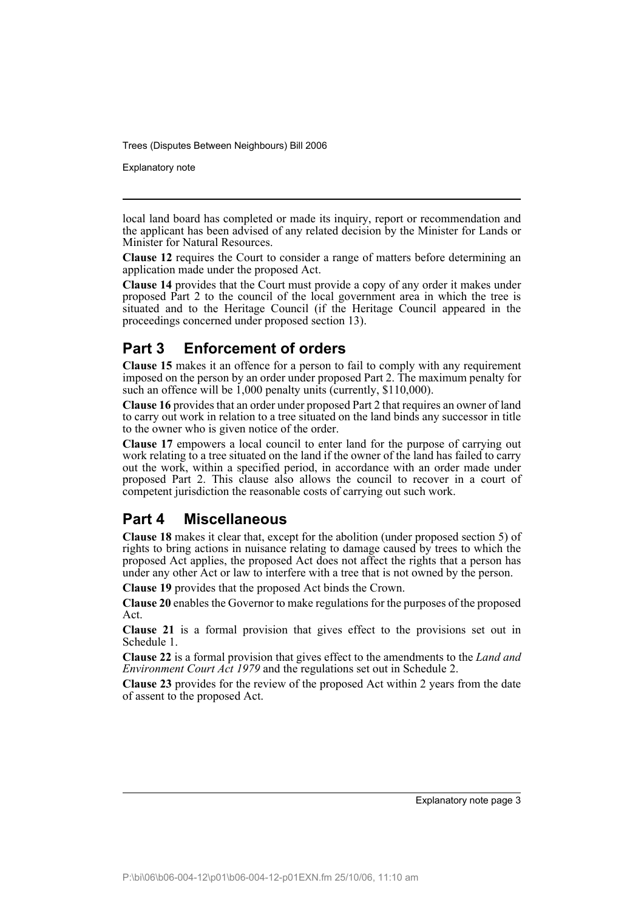Explanatory note

local land board has completed or made its inquiry, report or recommendation and the applicant has been advised of any related decision by the Minister for Lands or Minister for Natural Resources.

**Clause 12** requires the Court to consider a range of matters before determining an application made under the proposed Act.

**Clause 14** provides that the Court must provide a copy of any order it makes under proposed Part 2 to the council of the local government area in which the tree is situated and to the Heritage Council (if the Heritage Council appeared in the proceedings concerned under proposed section 13).

## **Part 3 Enforcement of orders**

**Clause 15** makes it an offence for a person to fail to comply with any requirement imposed on the person by an order under proposed Part 2. The maximum penalty for such an offence will be  $1,000$  penalty units (currently, \$110,000).

**Clause 16** provides that an order under proposed Part 2 that requires an owner of land to carry out work in relation to a tree situated on the land binds any successor in title to the owner who is given notice of the order.

**Clause 17** empowers a local council to enter land for the purpose of carrying out work relating to a tree situated on the land if the owner of the land has failed to carry out the work, within a specified period, in accordance with an order made under proposed Part 2. This clause also allows the council to recover in a court of competent jurisdiction the reasonable costs of carrying out such work.

## **Part 4 Miscellaneous**

**Clause 18** makes it clear that, except for the abolition (under proposed section 5) of rights to bring actions in nuisance relating to damage caused by trees to which the proposed Act applies, the proposed Act does not affect the rights that a person has under any other Act or law to interfere with a tree that is not owned by the person.

**Clause 19** provides that the proposed Act binds the Crown.

**Clause 20** enables the Governor to make regulations for the purposes of the proposed Act.

**Clause 21** is a formal provision that gives effect to the provisions set out in Schedule 1.

**Clause 22** is a formal provision that gives effect to the amendments to the *Land and Environment Court Act 1979* and the regulations set out in Schedule 2.

**Clause 23** provides for the review of the proposed Act within 2 years from the date of assent to the proposed Act.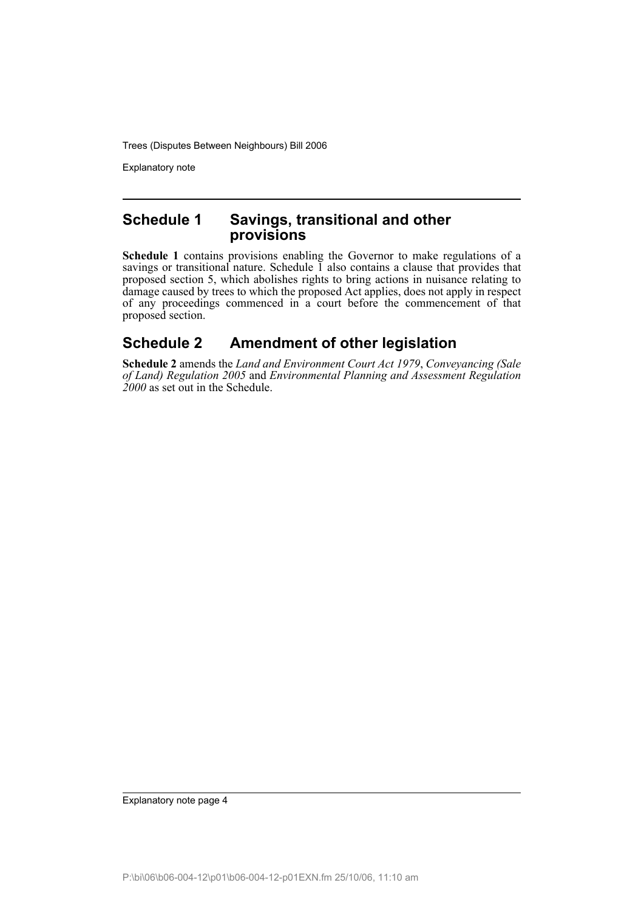Explanatory note

#### **Schedule 1 Savings, transitional and other provisions**

**Schedule 1** contains provisions enabling the Governor to make regulations of a savings or transitional nature. Schedule  $\overline{1}$  also contains a clause that provides that proposed section 5, which abolishes rights to bring actions in nuisance relating to damage caused by trees to which the proposed Act applies, does not apply in respect of any proceedings commenced in a court before the commencement of that proposed section.

# **Schedule 2 Amendment of other legislation**

**Schedule 2** amends the *Land and Environment Court Act 1979*, *Conveyancing (Sale of Land) Regulation 2005* and *Environmental Planning and Assessment Regulation 2000* as set out in the Schedule.

Explanatory note page 4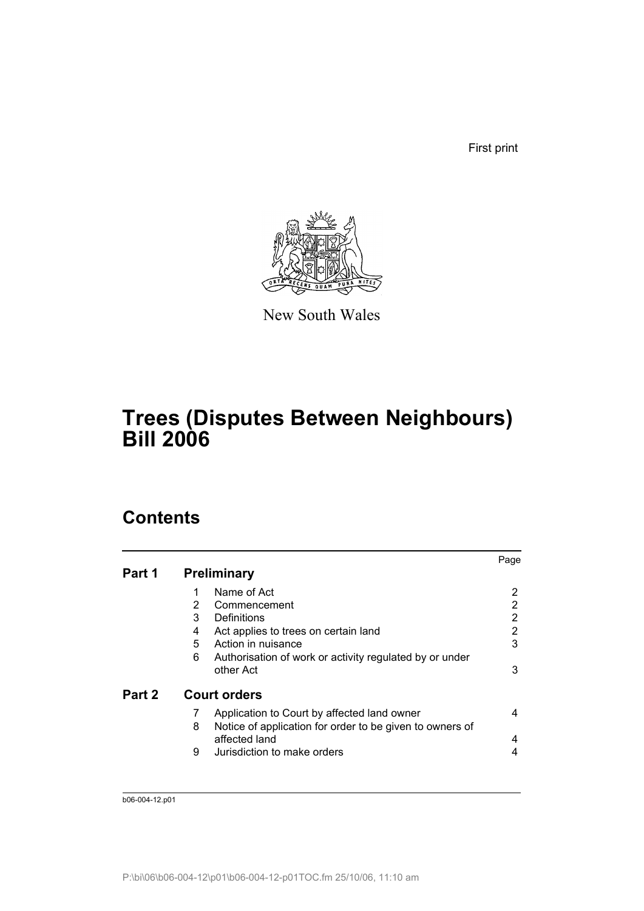First print



New South Wales

# **Trees (Disputes Between Neighbours) Bill 2006**

# **Contents**

|        |   |                                                          | Page |
|--------|---|----------------------------------------------------------|------|
| Part 1 |   | <b>Preliminary</b>                                       |      |
|        |   | Name of Act                                              | 2    |
|        | 2 | Commencement                                             | 2    |
|        | 3 | Definitions                                              | 2    |
|        | 4 | Act applies to trees on certain land                     | 2    |
|        | 5 | Action in nuisance                                       | 3    |
|        | 6 | Authorisation of work or activity regulated by or under  |      |
|        |   | other Act                                                | 3    |
| Part 2 |   | <b>Court orders</b>                                      |      |
|        | 7 | Application to Court by affected land owner              | 4    |
|        | 8 | Notice of application for order to be given to owners of |      |
|        |   | affected land                                            | 4    |
|        | 9 | Jurisdiction to make orders                              | 4    |
|        |   |                                                          |      |

b06-004-12.p01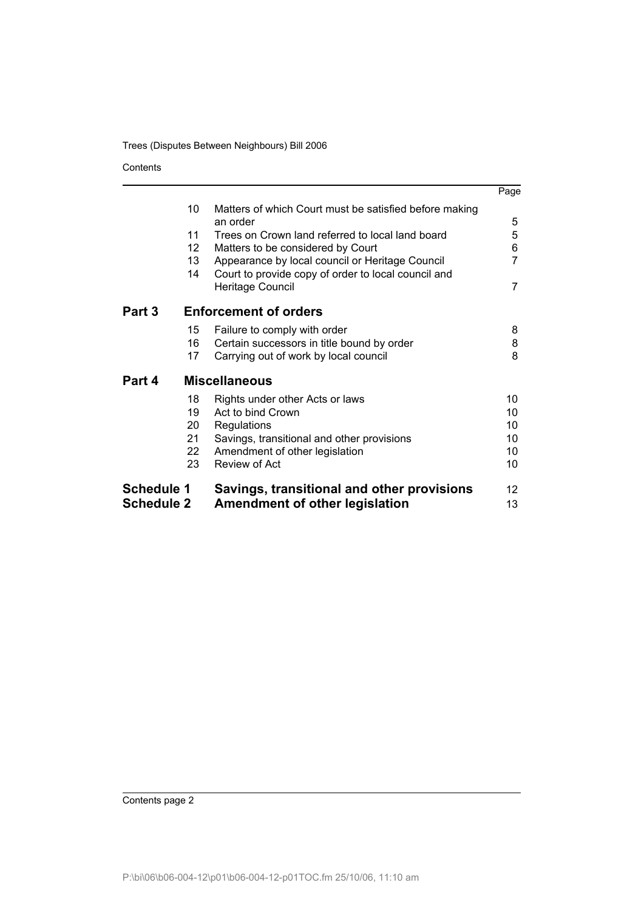Contents

|                   |                      |                                                                         | Page |  |  |
|-------------------|----------------------|-------------------------------------------------------------------------|------|--|--|
|                   | 10                   | Matters of which Court must be satisfied before making<br>an order      | 5    |  |  |
|                   | 11                   | Trees on Crown land referred to local land board                        | 5    |  |  |
|                   | 12                   | Matters to be considered by Court                                       | 6    |  |  |
|                   | 13                   | Appearance by local council or Heritage Council                         | 7    |  |  |
|                   | 14                   | Court to provide copy of order to local council and<br>Heritage Council | 7    |  |  |
| Part 3            |                      | <b>Enforcement of orders</b>                                            |      |  |  |
|                   | 15                   | Failure to comply with order                                            | 8    |  |  |
|                   | 16                   | Certain successors in title bound by order                              | 8    |  |  |
|                   | 17                   | Carrying out of work by local council                                   | 8    |  |  |
| Part 4            | <b>Miscellaneous</b> |                                                                         |      |  |  |
|                   | 18                   | Rights under other Acts or laws                                         | 10   |  |  |
|                   | 19                   | Act to bind Crown                                                       | 10   |  |  |
|                   | 20                   | Regulations                                                             | 10   |  |  |
|                   | 21 <sup>°</sup>      | Savings, transitional and other provisions                              | 10   |  |  |
|                   | 22                   | Amendment of other legislation                                          | 10   |  |  |
|                   | 23                   | <b>Review of Act</b>                                                    | 10   |  |  |
| <b>Schedule 1</b> |                      | Savings, transitional and other provisions                              | 12   |  |  |
| <b>Schedule 2</b> |                      | <b>Amendment of other legislation</b>                                   | 13   |  |  |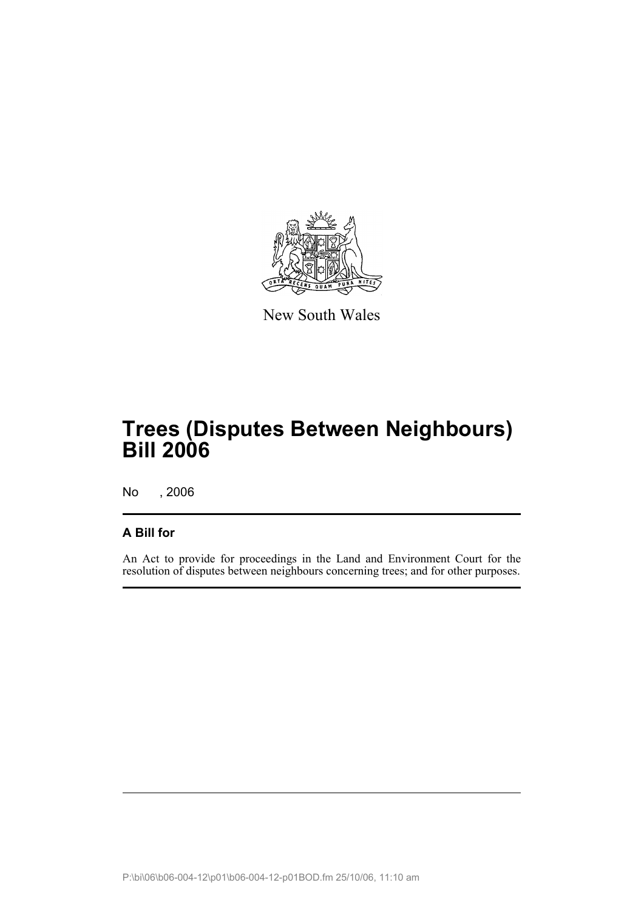

New South Wales

# **Trees (Disputes Between Neighbours) Bill 2006**

No , 2006

#### **A Bill for**

An Act to provide for proceedings in the Land and Environment Court for the resolution of disputes between neighbours concerning trees; and for other purposes.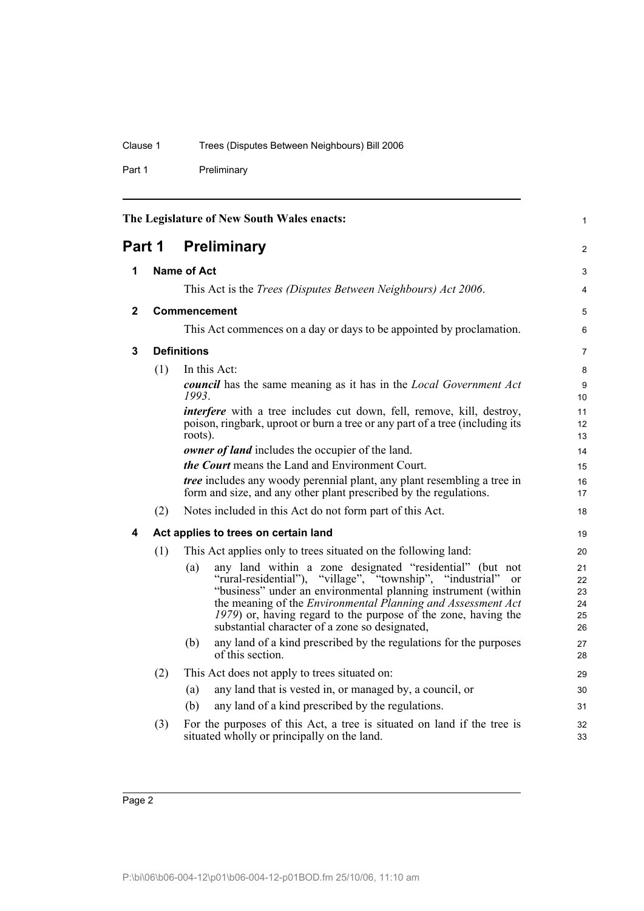Part 1 Preliminary

<span id="page-7-4"></span><span id="page-7-3"></span><span id="page-7-2"></span><span id="page-7-1"></span><span id="page-7-0"></span>

| The Legislature of New South Wales enacts: |                     |                                                                                                                                                                                                                                                                                                                                                                                                           | $\mathbf{1}$                     |  |
|--------------------------------------------|---------------------|-----------------------------------------------------------------------------------------------------------------------------------------------------------------------------------------------------------------------------------------------------------------------------------------------------------------------------------------------------------------------------------------------------------|----------------------------------|--|
| <b>Preliminary</b><br>Part 1               |                     |                                                                                                                                                                                                                                                                                                                                                                                                           |                                  |  |
| 1                                          |                     | <b>Name of Act</b>                                                                                                                                                                                                                                                                                                                                                                                        |                                  |  |
|                                            |                     | This Act is the <i>Trees (Disputes Between Neighbours) Act 2006</i> .                                                                                                                                                                                                                                                                                                                                     | $\overline{4}$                   |  |
| $\mathbf{2}$                               | <b>Commencement</b> |                                                                                                                                                                                                                                                                                                                                                                                                           | $\mathbf 5$                      |  |
|                                            |                     | This Act commences on a day or days to be appointed by proclamation.                                                                                                                                                                                                                                                                                                                                      | 6                                |  |
| 3                                          |                     | <b>Definitions</b>                                                                                                                                                                                                                                                                                                                                                                                        | $\overline{7}$                   |  |
|                                            | (1)                 | In this Act:                                                                                                                                                                                                                                                                                                                                                                                              | 8                                |  |
|                                            |                     | <b>council</b> has the same meaning as it has in the <i>Local Government Act</i><br>1993.                                                                                                                                                                                                                                                                                                                 | 9<br>10                          |  |
|                                            |                     | <i>interfere</i> with a tree includes cut down, fell, remove, kill, destroy,<br>poison, ringbark, uproot or burn a tree or any part of a tree (including its<br>roots).                                                                                                                                                                                                                                   | 11<br>12<br>13                   |  |
|                                            |                     | owner of land includes the occupier of the land.                                                                                                                                                                                                                                                                                                                                                          | 14                               |  |
|                                            |                     | <i>the Court</i> means the Land and Environment Court.                                                                                                                                                                                                                                                                                                                                                    | 15                               |  |
|                                            |                     | <i>tree</i> includes any woody perennial plant, any plant resembling a tree in<br>form and size, and any other plant prescribed by the regulations.                                                                                                                                                                                                                                                       | 16<br>17                         |  |
|                                            | (2)                 | Notes included in this Act do not form part of this Act.                                                                                                                                                                                                                                                                                                                                                  | 18                               |  |
| 4                                          |                     | Act applies to trees on certain land                                                                                                                                                                                                                                                                                                                                                                      | 19                               |  |
|                                            | (1)                 | This Act applies only to trees situated on the following land:                                                                                                                                                                                                                                                                                                                                            | 20                               |  |
|                                            |                     | any land within a zone designated "residential" (but not<br>(a)<br>"rural-residential"), "village", "township", "industrial"<br><sub>or</sub><br>"business" under an environmental planning instrument (within<br>the meaning of the <i>Environmental Planning and Assessment Act</i><br>1979) or, having regard to the purpose of the zone, having the<br>substantial character of a zone so designated, | 21<br>22<br>23<br>24<br>25<br>26 |  |
|                                            |                     | any land of a kind prescribed by the regulations for the purposes<br>(b)<br>of this section.                                                                                                                                                                                                                                                                                                              | 27<br>28                         |  |
|                                            | (2)                 | This Act does not apply to trees situated on:                                                                                                                                                                                                                                                                                                                                                             | 29                               |  |
|                                            |                     | any land that is vested in, or managed by, a council, or<br>(a)                                                                                                                                                                                                                                                                                                                                           | 30                               |  |
|                                            |                     | any land of a kind prescribed by the regulations.<br>(b)                                                                                                                                                                                                                                                                                                                                                  | 31                               |  |
|                                            | (3)                 | For the purposes of this Act, a tree is situated on land if the tree is<br>situated wholly or principally on the land.                                                                                                                                                                                                                                                                                    | 32<br>33                         |  |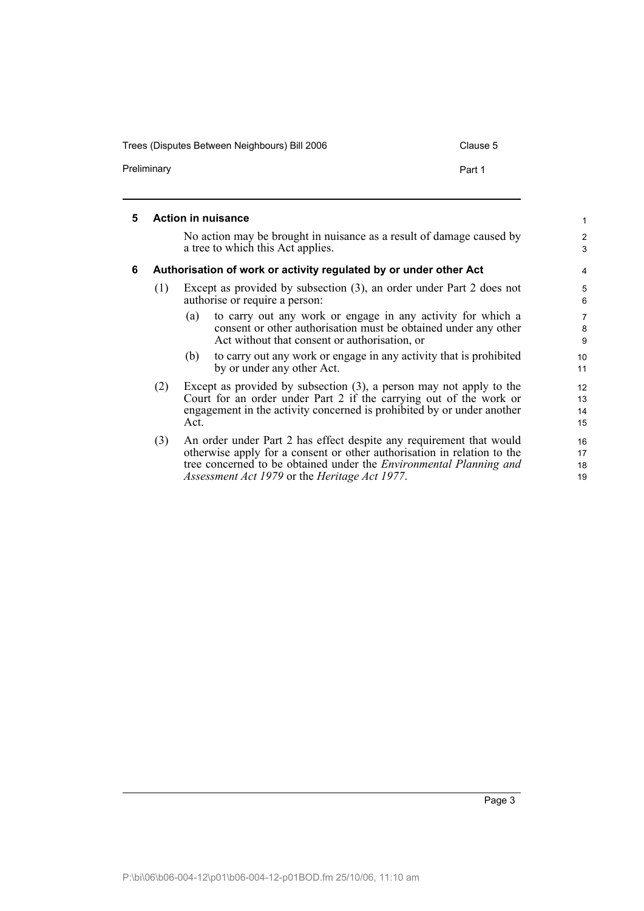Trees (Disputes Between Neighbours) Bill 2006 Clause 5

Preliminary **Preliminary** Part 1

<span id="page-8-1"></span><span id="page-8-0"></span>

| 5 |     |      | <b>Action in nuisance</b>                                                                                                                                                                                                                                                    | $\mathbf{1}$             |
|---|-----|------|------------------------------------------------------------------------------------------------------------------------------------------------------------------------------------------------------------------------------------------------------------------------------|--------------------------|
|   |     |      | No action may be brought in nuisance as a result of damage caused by                                                                                                                                                                                                         | 2                        |
|   |     |      | a tree to which this Act applies.                                                                                                                                                                                                                                            | 3                        |
| 6 |     |      | Authorisation of work or activity regulated by or under other Act                                                                                                                                                                                                            | $\overline{4}$           |
|   | (1) |      | Except as provided by subsection (3), an order under Part 2 does not<br>authorise or require a person:                                                                                                                                                                       | 5<br>6                   |
|   |     | (a)  | to carry out any work or engage in any activity for which a<br>consent or other authorisation must be obtained under any other<br>Act without that consent or authorisation, or                                                                                              | $\overline{7}$<br>8<br>9 |
|   |     | (b)  | to carry out any work or engage in any activity that is prohibited<br>by or under any other Act.                                                                                                                                                                             | 10<br>11                 |
|   | (2) | Act. | Except as provided by subsection $(3)$ , a person may not apply to the<br>Court for an order under Part 2 if the carrying out of the work or<br>engagement in the activity concerned is prohibited by or under another                                                       | 12<br>13<br>14<br>15     |
|   | (3) |      | An order under Part 2 has effect despite any requirement that would<br>otherwise apply for a consent or other authorisation in relation to the<br>tree concerned to be obtained under the <i>Environmental Planning and</i><br>Assessment Act 1979 or the Heritage Act 1977. | 16<br>17<br>18<br>19     |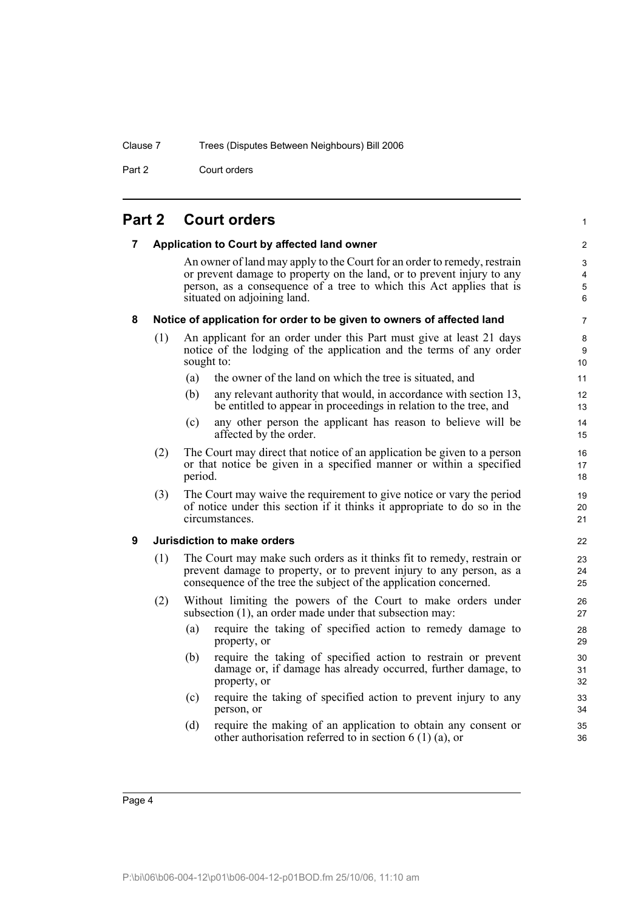Part 2 Court orders

## <span id="page-9-1"></span><span id="page-9-0"></span>**Part 2 Court orders**

#### <span id="page-9-3"></span><span id="page-9-2"></span>**7 Application to Court by affected land owner** An owner of land may apply to the Court for an order to remedy, restrain or prevent damage to property on the land, or to prevent injury to any person, as a consequence of a tree to which this Act applies that is situated on adjoining land. **8 Notice of application for order to be given to owners of affected land** (1) An applicant for an order under this Part must give at least 21 days notice of the lodging of the application and the terms of any order sought to: (a) the owner of the land on which the tree is situated, and (b) any relevant authority that would, in accordance with section 13, be entitled to appear in proceedings in relation to the tree, and (c) any other person the applicant has reason to believe will be affected by the order. (2) The Court may direct that notice of an application be given to a person or that notice be given in a specified manner or within a specified period. (3) The Court may waive the requirement to give notice or vary the period of notice under this section if it thinks it appropriate to do so in the circumstances. **9 Jurisdiction to make orders** (1) The Court may make such orders as it thinks fit to remedy, restrain or prevent damage to property, or to prevent injury to any person, as a consequence of the tree the subject of the application concerned. (2) Without limiting the powers of the Court to make orders under subsection (1), an order made under that subsection may: (a) require the taking of specified action to remedy damage to property, or (b) require the taking of specified action to restrain or prevent damage or, if damage has already occurred, further damage, to property, or (c) require the taking of specified action to prevent injury to any person, or (d) require the making of an application to obtain any consent or other authorisation referred to in section 6 (1) (a), or

1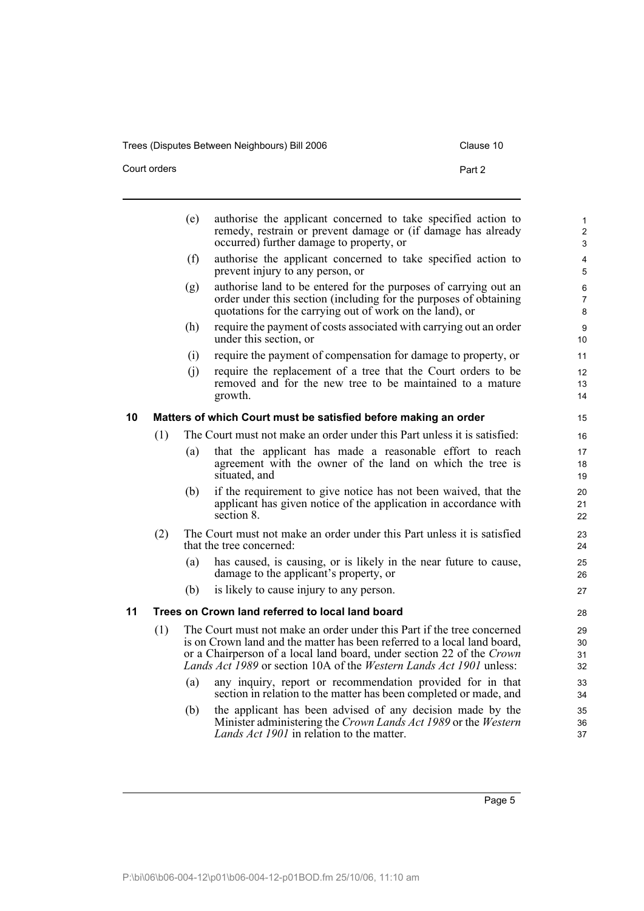Trees (Disputes Between Neighbours) Bill 2006 Clause 10

Court orders **Part 2** 

<span id="page-10-1"></span><span id="page-10-0"></span>

|    |     | (e) | authorise the applicant concerned to take specified action to<br>remedy, restrain or prevent damage or (if damage has already<br>occurred) further damage to property, or                                                                                                                          | $\mathbf{1}$<br>$\overline{2}$<br>3 |
|----|-----|-----|----------------------------------------------------------------------------------------------------------------------------------------------------------------------------------------------------------------------------------------------------------------------------------------------------|-------------------------------------|
|    |     | (f) | authorise the applicant concerned to take specified action to<br>prevent injury to any person, or                                                                                                                                                                                                  | 4<br>5                              |
|    |     | (g) | authorise land to be entered for the purposes of carrying out an<br>order under this section (including for the purposes of obtaining<br>quotations for the carrying out of work on the land), or                                                                                                  | 6<br>7<br>8                         |
|    |     | (h) | require the payment of costs associated with carrying out an order<br>under this section, or                                                                                                                                                                                                       | 9<br>10                             |
|    |     | (i) | require the payment of compensation for damage to property, or                                                                                                                                                                                                                                     | 11                                  |
|    |     | (i) | require the replacement of a tree that the Court orders to be<br>removed and for the new tree to be maintained to a mature<br>growth.                                                                                                                                                              | 12<br>13<br>14                      |
| 10 |     |     | Matters of which Court must be satisfied before making an order                                                                                                                                                                                                                                    | 15                                  |
|    | (1) |     | The Court must not make an order under this Part unless it is satisfied:                                                                                                                                                                                                                           | 16                                  |
|    |     | (a) | that the applicant has made a reasonable effort to reach<br>agreement with the owner of the land on which the tree is<br>situated, and                                                                                                                                                             | 17<br>18<br>19                      |
|    |     | (b) | if the requirement to give notice has not been waived, that the<br>applicant has given notice of the application in accordance with<br>section 8.                                                                                                                                                  | 20<br>21<br>22                      |
|    | (2) |     | The Court must not make an order under this Part unless it is satisfied<br>that the tree concerned:                                                                                                                                                                                                | 23<br>24                            |
|    |     | (a) | has caused, is causing, or is likely in the near future to cause,<br>damage to the applicant's property, or                                                                                                                                                                                        | 25<br>26                            |
|    |     | (b) | is likely to cause injury to any person.                                                                                                                                                                                                                                                           | 27                                  |
| 11 |     |     | Trees on Crown land referred to local land board                                                                                                                                                                                                                                                   | 28                                  |
|    | (1) |     | The Court must not make an order under this Part if the tree concerned<br>is on Crown land and the matter has been referred to a local land board,<br>or a Chairperson of a local land board, under section 22 of the Crown<br>Lands Act 1989 or section 10A of the Western Lands Act 1901 unless: | 29<br>30<br>31<br>32                |
|    |     | (a) | any inquiry, report or recommendation provided for in that<br>section in relation to the matter has been completed or made, and                                                                                                                                                                    | 33<br>34                            |
|    |     | (b) | the applicant has been advised of any decision made by the<br>Minister administering the Crown Lands Act 1989 or the Western<br>Lands Act 1901 in relation to the matter.                                                                                                                          | 35<br>36<br>37                      |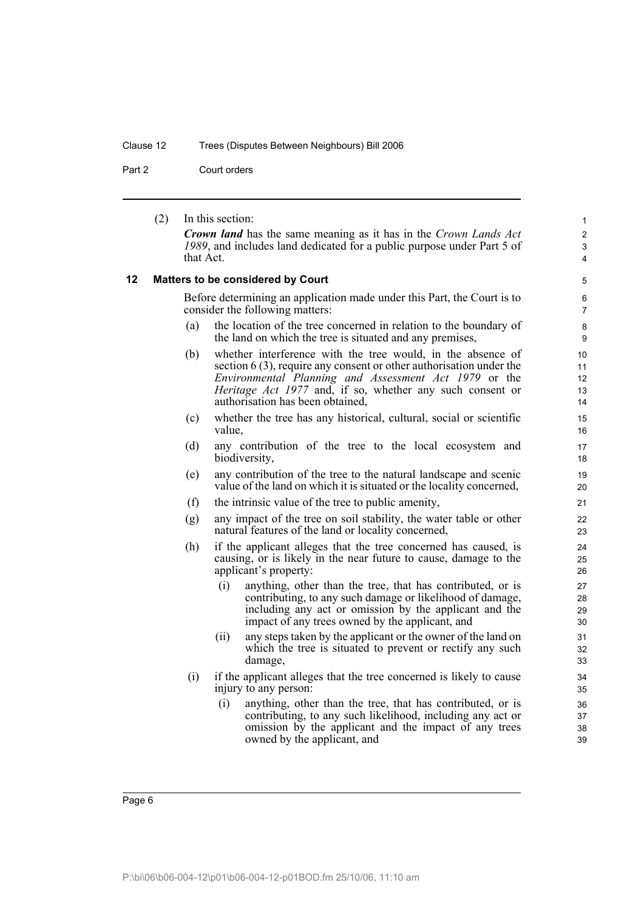## Clause 12 Trees (Disputes Between Neighbours) Bill 2006

Part 2 Court orders

<span id="page-11-0"></span>

|    | (2) |           | In this section:                                                                                                                                                                                                                                                                               | 1                          |
|----|-----|-----------|------------------------------------------------------------------------------------------------------------------------------------------------------------------------------------------------------------------------------------------------------------------------------------------------|----------------------------|
|    |     |           | <b>Crown land</b> has the same meaning as it has in the Crown Lands Act                                                                                                                                                                                                                        | $\overline{2}$             |
|    |     | that Act. | 1989, and includes land dedicated for a public purpose under Part 5 of                                                                                                                                                                                                                         | 3                          |
|    |     |           |                                                                                                                                                                                                                                                                                                | 4                          |
| 12 |     |           | <b>Matters to be considered by Court</b>                                                                                                                                                                                                                                                       | 5                          |
|    |     |           | Before determining an application made under this Part, the Court is to<br>consider the following matters:                                                                                                                                                                                     | 6<br>$\overline{7}$        |
|    |     | (a)       | the location of the tree concerned in relation to the boundary of<br>the land on which the tree is situated and any premises,                                                                                                                                                                  | 8<br>9                     |
|    |     | (b)       | whether interference with the tree would, in the absence of<br>section $6(3)$ , require any consent or other authorisation under the<br>Environmental Planning and Assessment Act 1979 or the<br>Heritage Act 1977 and, if so, whether any such consent or<br>authorisation has been obtained, | 10<br>11<br>12<br>13<br>14 |
|    |     | (c)       | whether the tree has any historical, cultural, social or scientific<br>value,                                                                                                                                                                                                                  | 15<br>16                   |
|    |     | (d)       | any contribution of the tree to the local ecosystem and<br>biodiversity,                                                                                                                                                                                                                       | 17<br>18                   |
|    |     | (e)       | any contribution of the tree to the natural landscape and scenic<br>value of the land on which it is situated or the locality concerned,                                                                                                                                                       | 19<br>20                   |
|    |     | (f)       | the intrinsic value of the tree to public amenity,                                                                                                                                                                                                                                             | 21                         |
|    |     | (g)       | any impact of the tree on soil stability, the water table or other<br>natural features of the land or locality concerned,                                                                                                                                                                      | 22<br>23                   |
|    |     | (h)       | if the applicant alleges that the tree concerned has caused, is<br>causing, or is likely in the near future to cause, damage to the<br>applicant's property:                                                                                                                                   | 24<br>25<br>26             |
|    |     |           | anything, other than the tree, that has contributed, or is<br>(i)<br>contributing, to any such damage or likelihood of damage,<br>including any act or omission by the applicant and the<br>impact of any trees owned by the applicant, and                                                    | 27<br>28<br>29<br>30       |
|    |     |           | any steps taken by the applicant or the owner of the land on<br>(ii)<br>which the tree is situated to prevent or rectify any such<br>damage,                                                                                                                                                   | 31<br>32<br>33             |
|    |     | (i)       | if the applicant alleges that the tree concerned is likely to cause<br>injury to any person:                                                                                                                                                                                                   | 34<br>35                   |
|    |     |           | (i)<br>anything, other than the tree, that has contributed, or is<br>contributing, to any such likelihood, including any act or<br>omission by the applicant and the impact of any trees<br>owned by the applicant, and                                                                        | 36<br>37<br>38<br>39       |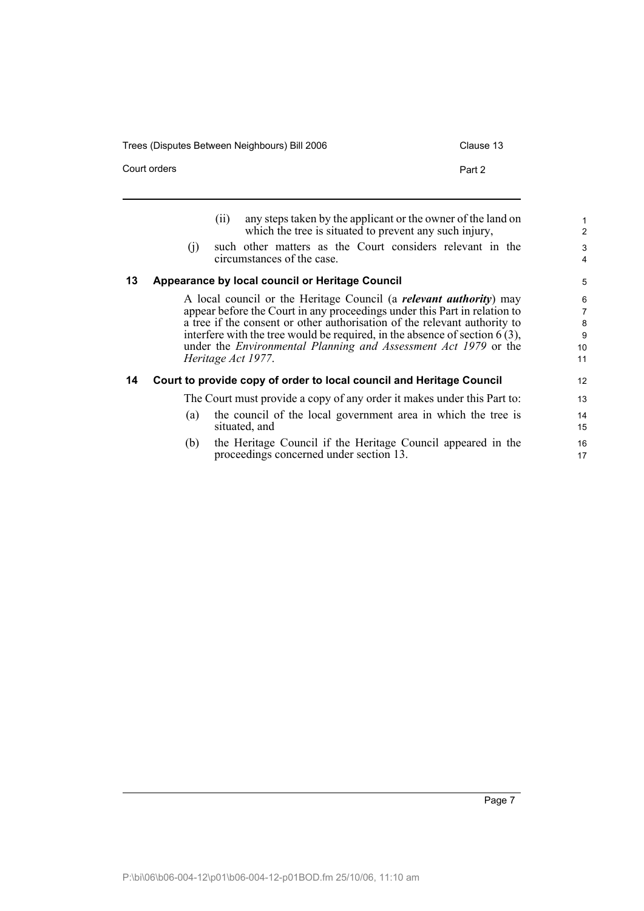Trees (Disputes Between Neighbours) Bill 2006 Clause 13

<span id="page-12-0"></span>

|    | Court orders |      | Part 2                                                                                                                                                                                                                                                                                                                                                                                                         |
|----|--------------|------|----------------------------------------------------------------------------------------------------------------------------------------------------------------------------------------------------------------------------------------------------------------------------------------------------------------------------------------------------------------------------------------------------------------|
| 13 | (i)          | (11) | any steps taken by the applicant or the owner of the land on<br>which the tree is situated to prevent any such injury,<br>such other matters as the Court considers relevant in the<br>circumstances of the case.<br>Appearance by local council or Heritage Council                                                                                                                                           |
|    |              |      | A local council or the Heritage Council (a <i>relevant authority</i> ) may<br>appear before the Court in any proceedings under this Part in relation to<br>a tree if the consent or other authorisation of the relevant authority to<br>interfere with the tree would be required, in the absence of section $6(3)$ ,<br>under the Environmental Planning and Assessment Act 1979 or the<br>Heritage Act 1977. |
| 14 |              |      | Court to provide copy of order to local council and Heritage Council                                                                                                                                                                                                                                                                                                                                           |

<span id="page-12-1"></span>The Court must provide a copy of any order it makes under this Part to:

- (a) the council of the local government area in which the tree is situated, and
- (b) the Heritage Council if the Heritage Council appeared in the proceedings concerned under section 13.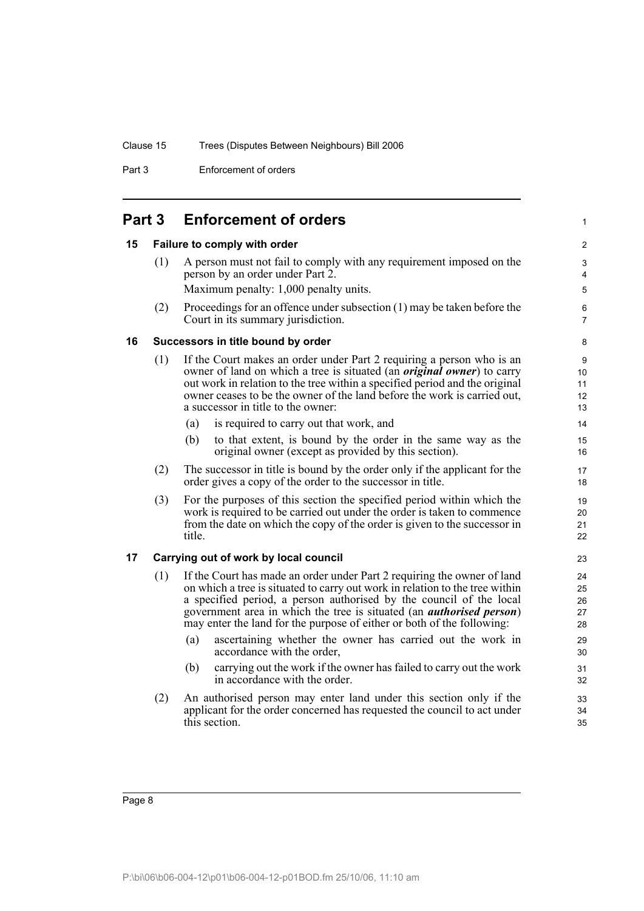Part 3 Enforcement of orders

#### <span id="page-13-0"></span>**Part 3 Enforcement of orders**

#### <span id="page-13-1"></span>**15 Failure to comply with order**

(1) A person must not fail to comply with any requirement imposed on the person by an order under Part 2. Maximum penalty: 1,000 penalty units.

1

(2) Proceedings for an offence under subsection (1) may be taken before the Court in its summary jurisdiction.

#### **16 Successors in title bound by order**

- (1) If the Court makes an order under Part 2 requiring a person who is an owner of land on which a tree is situated (an *original owner*) to carry out work in relation to the tree within a specified period and the original owner ceases to be the owner of the land before the work is carried out, a successor in title to the owner:
	- (a) is required to carry out that work, and
	- (b) to that extent, is bound by the order in the same way as the original owner (except as provided by this section).
- (2) The successor in title is bound by the order only if the applicant for the order gives a copy of the order to the successor in title.
- (3) For the purposes of this section the specified period within which the work is required to be carried out under the order is taken to commence from the date on which the copy of the order is given to the successor in title.

#### <span id="page-13-2"></span>**17 Carrying out of work by local council**

- (1) If the Court has made an order under Part 2 requiring the owner of land on which a tree is situated to carry out work in relation to the tree within a specified period, a person authorised by the council of the local government area in which the tree is situated (an *authorised person*) may enter the land for the purpose of either or both of the following:
	- (a) ascertaining whether the owner has carried out the work in accordance with the order,
	- (b) carrying out the work if the owner has failed to carry out the work in accordance with the order.
- (2) An authorised person may enter land under this section only if the applicant for the order concerned has requested the council to act under this section.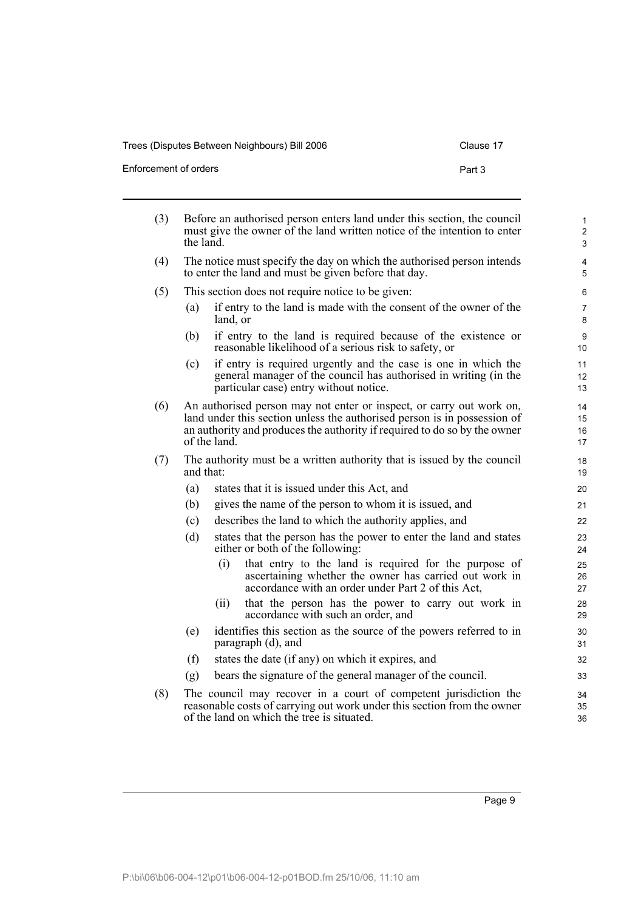i.

Enforcement of orders **Part 3** 

| (3) | Before an authorised person enters land under this section, the council<br>must give the owner of the land written notice of the intention to enter<br>the land. |              |                                                                                                                                                                                                                               |                      |
|-----|------------------------------------------------------------------------------------------------------------------------------------------------------------------|--------------|-------------------------------------------------------------------------------------------------------------------------------------------------------------------------------------------------------------------------------|----------------------|
| (4) |                                                                                                                                                                  |              | The notice must specify the day on which the authorised person intends<br>to enter the land and must be given before that day.                                                                                                | $\overline{4}$<br>5  |
| (5) |                                                                                                                                                                  |              | This section does not require notice to be given:                                                                                                                                                                             | 6                    |
|     | (a)                                                                                                                                                              | land, or     | if entry to the land is made with the consent of the owner of the                                                                                                                                                             | $\overline{7}$<br>8  |
|     | (b)                                                                                                                                                              |              | if entry to the land is required because of the existence or<br>reasonable likelihood of a serious risk to safety, or                                                                                                         | 9<br>10              |
|     | (c)                                                                                                                                                              |              | if entry is required urgently and the case is one in which the<br>general manager of the council has authorised in writing (in the<br>particular case) entry without notice.                                                  | 11<br>12<br>13       |
| (6) |                                                                                                                                                                  | of the land. | An authorised person may not enter or inspect, or carry out work on,<br>land under this section unless the authorised person is in possession of<br>an authority and produces the authority if required to do so by the owner | 14<br>15<br>16<br>17 |
| (7) | and that:                                                                                                                                                        |              | The authority must be a written authority that is issued by the council                                                                                                                                                       | 18<br>19             |
|     | (a)                                                                                                                                                              |              | states that it is issued under this Act, and                                                                                                                                                                                  | 20                   |
|     | (b)                                                                                                                                                              |              | gives the name of the person to whom it is issued, and                                                                                                                                                                        | 21                   |
|     | (c)                                                                                                                                                              |              | describes the land to which the authority applies, and                                                                                                                                                                        | 22                   |
|     | (d)                                                                                                                                                              |              | states that the person has the power to enter the land and states<br>either or both of the following:                                                                                                                         | 23<br>24             |
|     |                                                                                                                                                                  | (i)          | that entry to the land is required for the purpose of<br>ascertaining whether the owner has carried out work in<br>accordance with an order under Part 2 of this Act,                                                         | 25<br>26<br>27       |
|     |                                                                                                                                                                  | (ii)         | that the person has the power to carry out work in<br>accordance with such an order, and                                                                                                                                      | 28<br>29             |
|     | (e)                                                                                                                                                              |              | identifies this section as the source of the powers referred to in<br>paragraph (d), and                                                                                                                                      | 30<br>31             |
|     | (f)                                                                                                                                                              |              | states the date (if any) on which it expires, and                                                                                                                                                                             | 32                   |
|     | (g)                                                                                                                                                              |              | bears the signature of the general manager of the council.                                                                                                                                                                    | 33                   |
| (8) |                                                                                                                                                                  |              | The council may recover in a court of competent jurisdiction the<br>reasonable costs of carrying out work under this section from the owner                                                                                   | 34<br>35             |

Page 9

36

of the land on which the tree is situated.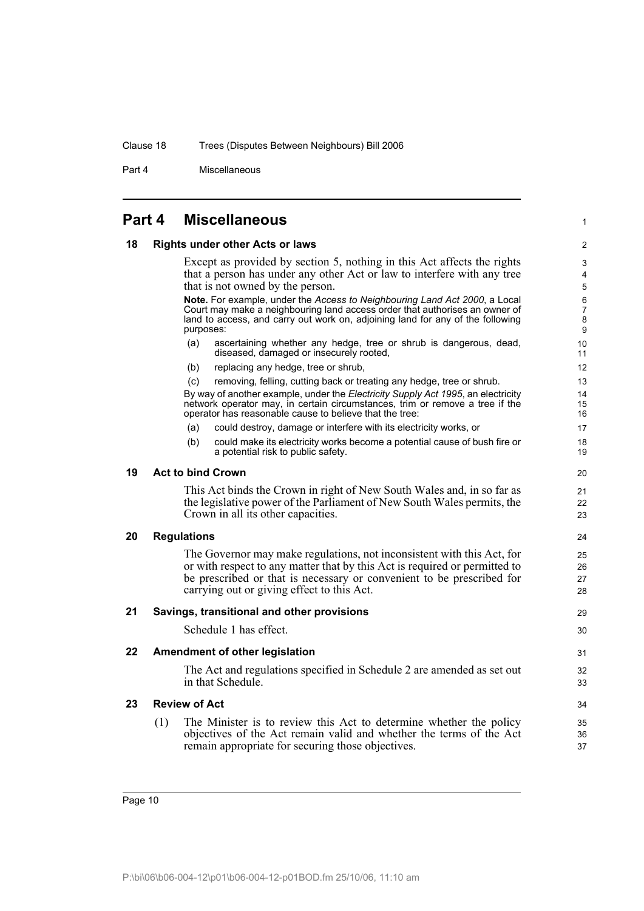Part 4 Miscellaneous

#### <span id="page-15-0"></span>**Part 4 Miscellaneous**

#### <span id="page-15-1"></span>**18 Rights under other Acts or laws**

Except as provided by section 5, nothing in this Act affects the rights that a person has under any other Act or law to interfere with any tree that is not owned by the person.

1

**Note.** For example, under the *Access to Neighbouring Land Act 2000*, a Local Court may make a neighbouring land access order that authorises an owner of land to access, and carry out work on, adjoining land for any of the following purposes:

- (a) ascertaining whether any hedge, tree or shrub is dangerous, dead, diseased, damaged or insecurely rooted,
- (b) replacing any hedge, tree or shrub,
- (c) removing, felling, cutting back or treating any hedge, tree or shrub.

By way of another example, under the *Electricity Supply Act 1995*, an electricity network operator may, in certain circumstances, trim or remove a tree if the operator has reasonable cause to believe that the tree:

- (a) could destroy, damage or interfere with its electricity works, or
- (b) could make its electricity works become a potential cause of bush fire or a potential risk to public safety.

#### <span id="page-15-2"></span>**19 Act to bind Crown**

This Act binds the Crown in right of New South Wales and, in so far as the legislative power of the Parliament of New South Wales permits, the Crown in all its other capacities.

#### <span id="page-15-3"></span>**20 Regulations**

The Governor may make regulations, not inconsistent with this Act, for or with respect to any matter that by this Act is required or permitted to be prescribed or that is necessary or convenient to be prescribed for carrying out or giving effect to this Act.

#### <span id="page-15-4"></span>**21 Savings, transitional and other provisions**

Schedule 1 has effect.

#### <span id="page-15-5"></span>**22 Amendment of other legislation**

The Act and regulations specified in Schedule 2 are amended as set out in that Schedule.

#### <span id="page-15-6"></span>**23 Review of Act**

(1) The Minister is to review this Act to determine whether the policy objectives of the Act remain valid and whether the terms of the Act remain appropriate for securing those objectives.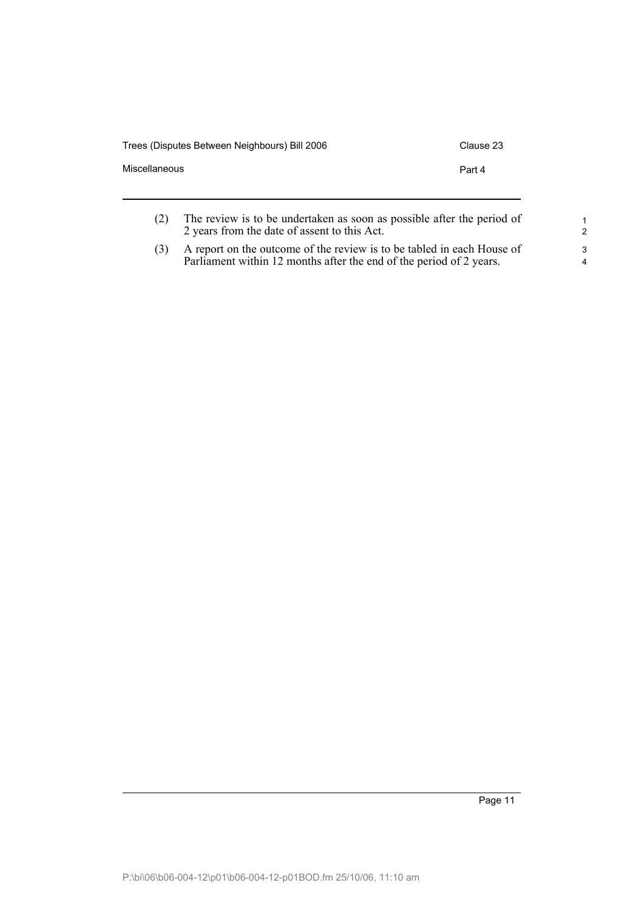| Clause 23                                                              |
|------------------------------------------------------------------------|
| Part 4                                                                 |
| The review is to be undertaken as soon as possible after the period of |
|                                                                        |

2 years from the date of assent to this Act.

(3) A report on the outcome of the review is to be tabled in each House of Parliament within 12 months after the end of the period of 2 years.

Page 11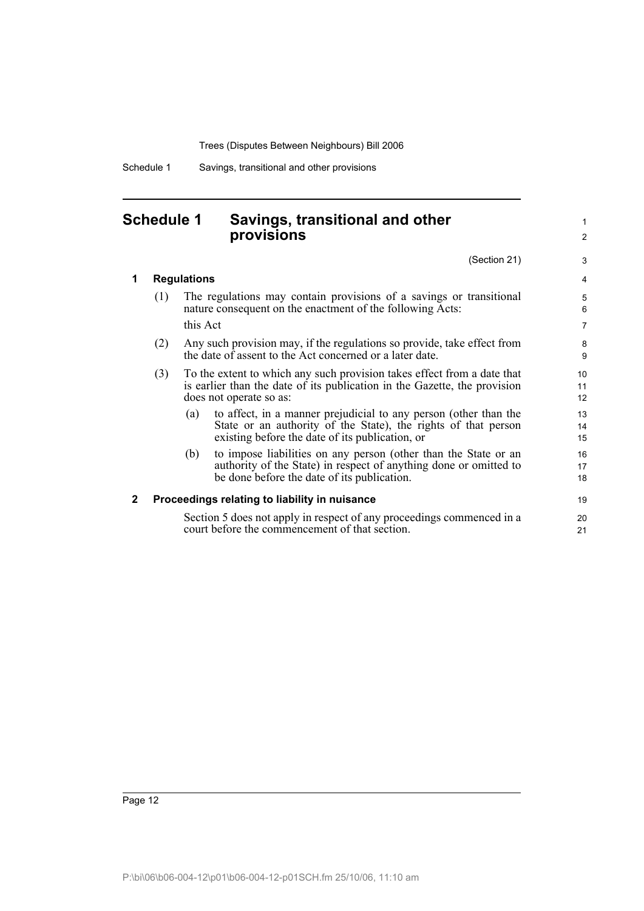Schedule 1 Savings, transitional and other provisions

## <span id="page-17-0"></span>**Schedule 1 Savings, transitional and other provisions**

(Section 21)

1 2

3

| 1 | <b>Regulations</b> |                                                                                                                                                                                              |                |  |  |
|---|--------------------|----------------------------------------------------------------------------------------------------------------------------------------------------------------------------------------------|----------------|--|--|
|   | (1)                | The regulations may contain provisions of a savings or transitional<br>nature consequent on the enactment of the following Acts:                                                             | 5<br>6         |  |  |
|   |                    | this Act                                                                                                                                                                                     | $\overline{7}$ |  |  |
|   | (2)                | Any such provision may, if the regulations so provide, take effect from<br>the date of assent to the Act concerned or a later date.                                                          | 8<br>9         |  |  |
|   | (3)                | To the extent to which any such provision takes effect from a date that<br>is earlier than the date of its publication in the Gazette, the provision<br>does not operate so as:              | 10<br>11<br>12 |  |  |
|   |                    | to affect, in a manner prejudicial to any person (other than the<br>(a)<br>State or an authority of the State), the rights of that person<br>existing before the date of its publication, or | 13<br>14<br>15 |  |  |
|   |                    | to impose liabilities on any person (other than the State or an<br>(b)<br>authority of the State) in respect of anything done or omitted to<br>be done before the date of its publication.   | 16<br>17<br>18 |  |  |
| 2 |                    | Proceedings relating to liability in nuisance                                                                                                                                                | 19             |  |  |
|   |                    | Section 5 does not apply in respect of any proceedings commenced in a<br>court before the commencement of that section.                                                                      | 20<br>21       |  |  |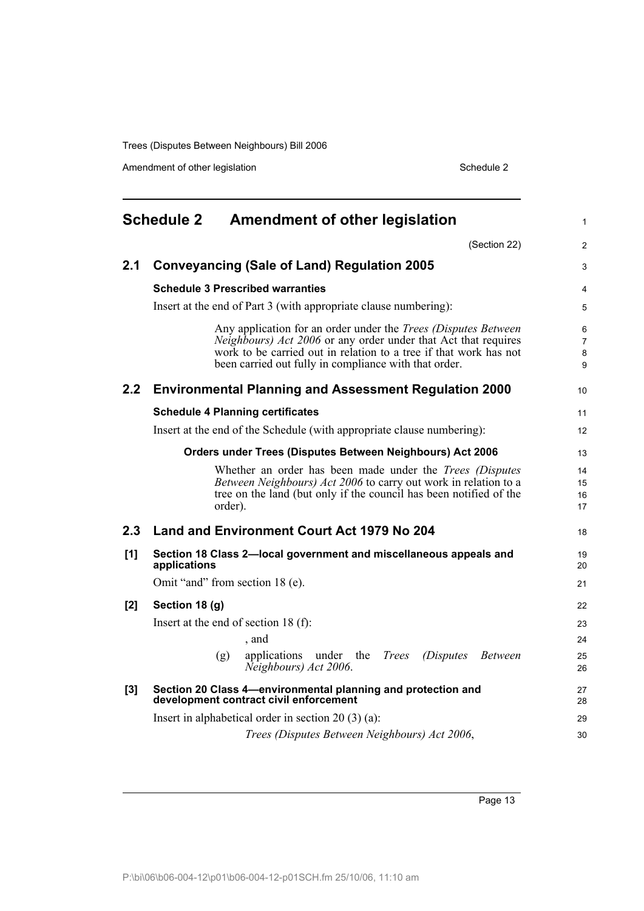Amendment of other legislation Schedule 2

<span id="page-18-0"></span>

|     | <b>Schedule 2</b><br><b>Amendment of other legislation</b>                                                                                                                                                                                                                   | 1                    |
|-----|------------------------------------------------------------------------------------------------------------------------------------------------------------------------------------------------------------------------------------------------------------------------------|----------------------|
|     | (Section 22)                                                                                                                                                                                                                                                                 | $\overline{c}$       |
| 2.1 | <b>Conveyancing (Sale of Land) Regulation 2005</b>                                                                                                                                                                                                                           | 3                    |
|     | <b>Schedule 3 Prescribed warranties</b>                                                                                                                                                                                                                                      | 4                    |
|     | Insert at the end of Part 3 (with appropriate clause numbering):                                                                                                                                                                                                             | 5                    |
|     | Any application for an order under the <i>Trees</i> (Disputes Between<br><i>Neighbours) Act 2006</i> or any order under that Act that requires<br>work to be carried out in relation to a tree if that work has not<br>been carried out fully in compliance with that order. | 6<br>7<br>8<br>9     |
| 2.2 | <b>Environmental Planning and Assessment Regulation 2000</b>                                                                                                                                                                                                                 | 10                   |
|     | <b>Schedule 4 Planning certificates</b>                                                                                                                                                                                                                                      | 11                   |
|     | Insert at the end of the Schedule (with appropriate clause numbering):                                                                                                                                                                                                       | 12                   |
|     | Orders under Trees (Disputes Between Neighbours) Act 2006                                                                                                                                                                                                                    | 13                   |
|     | Whether an order has been made under the <i>Trees (Disputes</i> )<br>Between Neighbours) Act 2006 to carry out work in relation to a<br>tree on the land (but only if the council has been notified of the<br>order).                                                        | 14<br>15<br>16<br>17 |
| 2.3 | Land and Environment Court Act 1979 No 204                                                                                                                                                                                                                                   | 18                   |
| [1] | Section 18 Class 2-local government and miscellaneous appeals and<br>applications                                                                                                                                                                                            | 19<br>20             |
|     | Omit "and" from section 18 (e).                                                                                                                                                                                                                                              | 21                   |
| [2] | Section 18 (g)                                                                                                                                                                                                                                                               | 22                   |
|     | Insert at the end of section 18 $(f)$ :<br>, and                                                                                                                                                                                                                             | 23<br>24             |
|     | applications under the<br><b>Trees</b><br><i>(Disputes)</i><br>(g)<br><i>Between</i><br>Neighbours) Act 2006.                                                                                                                                                                | 25<br>26             |
| [3] | Section 20 Class 4-environmental planning and protection and<br>development contract civil enforcement                                                                                                                                                                       | 27<br>28             |
|     | Insert in alphabetical order in section $20(3)(a)$ :                                                                                                                                                                                                                         | 29                   |
|     | Trees (Disputes Between Neighbours) Act 2006,                                                                                                                                                                                                                                | 30                   |